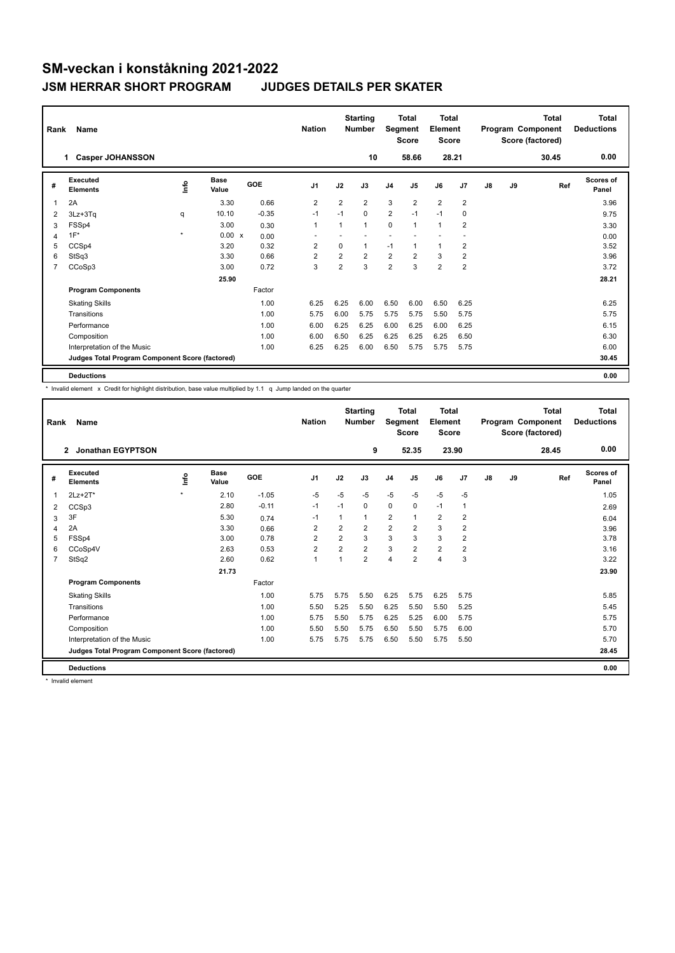| Rank | Name                                            |         |               |            | <b>Nation</b>  |                | <b>Starting</b><br>Number |                | <b>Total</b><br>Segment<br><b>Score</b> | Total<br>Element<br><b>Score</b> |                |    |    | <b>Total</b><br>Program Component<br>Score (factored) | Total<br><b>Deductions</b> |
|------|-------------------------------------------------|---------|---------------|------------|----------------|----------------|---------------------------|----------------|-----------------------------------------|----------------------------------|----------------|----|----|-------------------------------------------------------|----------------------------|
|      | <b>Casper JOHANSSON</b><br>1.                   |         |               |            |                |                | 10                        |                | 58.66                                   | 28.21                            |                |    |    | 30.45                                                 | 0.00                       |
| #    | <b>Executed</b><br><b>Elements</b>              | ١rfo    | Base<br>Value | <b>GOE</b> | J <sub>1</sub> | J2             | J3                        | J <sub>4</sub> | J <sub>5</sub>                          | J6                               | J <sub>7</sub> | J8 | J9 | Ref                                                   | Scores of<br>Panel         |
| 1    | 2A                                              |         | 3.30          | 0.66       | $\overline{2}$ | $\overline{2}$ | $\overline{2}$            | 3              | $\overline{2}$                          | $\overline{2}$                   | $\overline{2}$ |    |    |                                                       | 3.96                       |
| 2    | 3Lz+3Tq                                         | q       | 10.10         | $-0.35$    | $-1$           | $-1$           | $\Omega$                  | $\overline{2}$ | $-1$                                    | $-1$                             | 0              |    |    |                                                       | 9.75                       |
| 3    | FSSp4                                           |         | 3.00          | 0.30       | 1              | 1              | $\mathbf{1}$              | 0              | $\mathbf{1}$                            | $\mathbf{1}$                     | $\overline{2}$ |    |    |                                                       | 3.30                       |
| 4    | $1F^*$                                          | $\star$ | 0.00 x        | 0.00       |                |                |                           |                |                                         |                                  |                |    |    |                                                       | 0.00                       |
| 5    | CCSp4                                           |         | 3.20          | 0.32       | 2              | 0              | 1                         | $-1$           | $\mathbf{1}$                            | $\mathbf{1}$                     | 2              |    |    |                                                       | 3.52                       |
| 6    | StSq3                                           |         | 3.30          | 0.66       | $\overline{2}$ | $\overline{2}$ | $\overline{2}$            | $\overline{2}$ | $\overline{2}$                          | 3                                | $\overline{2}$ |    |    |                                                       | 3.96                       |
| 7    | CCoSp3                                          |         | 3.00          | 0.72       | 3              | $\overline{2}$ | 3                         | $\overline{2}$ | 3                                       | $\overline{2}$                   | $\overline{2}$ |    |    |                                                       | 3.72                       |
|      |                                                 |         | 25.90         |            |                |                |                           |                |                                         |                                  |                |    |    |                                                       | 28.21                      |
|      | <b>Program Components</b>                       |         |               | Factor     |                |                |                           |                |                                         |                                  |                |    |    |                                                       |                            |
|      | <b>Skating Skills</b>                           |         |               | 1.00       | 6.25           | 6.25           | 6.00                      | 6.50           | 6.00                                    | 6.50                             | 6.25           |    |    |                                                       | 6.25                       |
|      | Transitions                                     |         |               | 1.00       | 5.75           | 6.00           | 5.75                      | 5.75           | 5.75                                    | 5.50                             | 5.75           |    |    |                                                       | 5.75                       |
|      | Performance                                     |         |               | 1.00       | 6.00           | 6.25           | 6.25                      | 6.00           | 6.25                                    | 6.00                             | 6.25           |    |    |                                                       | 6.15                       |
|      | Composition                                     |         |               | 1.00       | 6.00           | 6.50           | 6.25                      | 6.25           | 6.25                                    | 6.25                             | 6.50           |    |    |                                                       | 6.30                       |
|      | Interpretation of the Music                     |         |               | 1.00       | 6.25           | 6.25           | 6.00                      | 6.50           | 5.75                                    | 5.75                             | 5.75           |    |    |                                                       | 6.00                       |
|      | Judges Total Program Component Score (factored) |         |               |            |                |                |                           |                |                                         |                                  |                |    |    |                                                       | 30.45                      |
|      | <b>Deductions</b>                               |         |               |            |                |                |                           |                |                                         |                                  |                |    |    |                                                       | 0.00                       |

\* Invalid element x Credit for highlight distribution, base value multiplied by 1.1 q Jump landed on the quarter

| Rank           | <b>Name</b>                                     |         |                      |         | <b>Nation</b>  |                | <b>Starting</b><br><b>Number</b> | Segment        | <b>Total</b><br><b>Score</b> | <b>Total</b><br>Element<br><b>Score</b> |                |               |    | <b>Total</b><br>Program Component<br>Score (factored) | <b>Total</b><br><b>Deductions</b> |
|----------------|-------------------------------------------------|---------|----------------------|---------|----------------|----------------|----------------------------------|----------------|------------------------------|-----------------------------------------|----------------|---------------|----|-------------------------------------------------------|-----------------------------------|
|                | Jonathan EGYPTSON<br>$\mathbf{2}$               |         |                      |         |                |                | 9                                |                | 52.35                        |                                         | 23.90          |               |    | 28.45                                                 | 0.00                              |
| #              | Executed<br><b>Elements</b>                     | Info    | <b>Base</b><br>Value | GOE     | J <sub>1</sub> | J2             | J3                               | J <sub>4</sub> | J5                           | J6                                      | J7             | $\mathsf{J}8$ | J9 | Ref                                                   | Scores of<br>Panel                |
| 1              | $2Lz+2T^*$                                      | $\star$ | 2.10                 | $-1.05$ | $-5$           | $-5$           | $-5$                             | $-5$           | $-5$                         | $-5$                                    | $-5$           |               |    |                                                       | 1.05                              |
| 2              | CCSp3                                           |         | 2.80                 | $-0.11$ | $-1$           | $-1$           | 0                                | $\mathbf 0$    | $\Omega$                     | $-1$                                    | $\mathbf 1$    |               |    |                                                       | 2.69                              |
| 3              | 3F                                              |         | 5.30                 | 0.74    | $-1$           | 1              | 1                                | $\overline{2}$ | 1                            | $\overline{2}$                          | $\overline{2}$ |               |    |                                                       | 6.04                              |
| $\overline{4}$ | 2A                                              |         | 3.30                 | 0.66    | $\overline{2}$ | $\overline{2}$ | $\overline{2}$                   | $\overline{2}$ | $\overline{2}$               | 3                                       | $\overline{2}$ |               |    |                                                       | 3.96                              |
| 5              | FSSp4                                           |         | 3.00                 | 0.78    | $\overline{2}$ | $\overline{2}$ | 3                                | 3              | 3                            | 3                                       | $\overline{2}$ |               |    |                                                       | 3.78                              |
| 6              | CCoSp4V                                         |         | 2.63                 | 0.53    | $\overline{2}$ | $\overline{2}$ | $\overline{2}$                   | 3              | $\overline{2}$               | $\overline{2}$                          | $\overline{2}$ |               |    |                                                       | 3.16                              |
| 7              | StSq2                                           |         | 2.60                 | 0.62    | $\mathbf{1}$   | 1              | $\overline{2}$                   | $\overline{4}$ | $\overline{2}$               | 4                                       | 3              |               |    |                                                       | 3.22                              |
|                |                                                 |         | 21.73                |         |                |                |                                  |                |                              |                                         |                |               |    |                                                       | 23.90                             |
|                | <b>Program Components</b>                       |         |                      | Factor  |                |                |                                  |                |                              |                                         |                |               |    |                                                       |                                   |
|                | <b>Skating Skills</b>                           |         |                      | 1.00    | 5.75           | 5.75           | 5.50                             | 6.25           | 5.75                         | 6.25                                    | 5.75           |               |    |                                                       | 5.85                              |
|                | Transitions                                     |         |                      | 1.00    | 5.50           | 5.25           | 5.50                             | 6.25           | 5.50                         | 5.50                                    | 5.25           |               |    |                                                       | 5.45                              |
|                | Performance                                     |         |                      | 1.00    | 5.75           | 5.50           | 5.75                             | 6.25           | 5.25                         | 6.00                                    | 5.75           |               |    |                                                       | 5.75                              |
|                | Composition                                     |         |                      | 1.00    | 5.50           | 5.50           | 5.75                             | 6.50           | 5.50                         | 5.75                                    | 6.00           |               |    |                                                       | 5.70                              |
|                | Interpretation of the Music                     |         |                      | 1.00    | 5.75           | 5.75           | 5.75                             | 6.50           | 5.50                         | 5.75                                    | 5.50           |               |    |                                                       | 5.70                              |
|                | Judges Total Program Component Score (factored) |         |                      |         |                |                |                                  |                |                              |                                         |                |               |    |                                                       | 28.45                             |
|                | <b>Deductions</b>                               |         |                      |         |                |                |                                  |                |                              |                                         |                |               |    |                                                       | 0.00                              |

\* Invalid element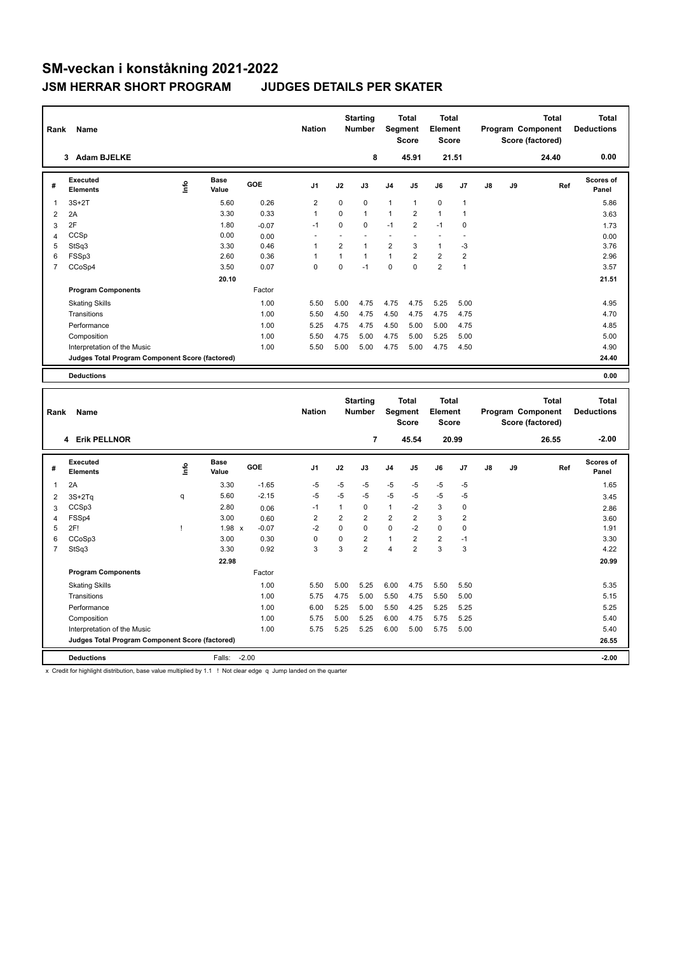| Rank           | Name                                            |             |                      |            | <b>Nation</b>  |                | <b>Starting</b><br><b>Number</b> | Segment                  | <b>Total</b><br><b>Score</b> | <b>Total</b><br>Element<br><b>Score</b> |                |    |    | <b>Total</b><br>Program Component<br>Score (factored) | <b>Total</b><br><b>Deductions</b> |
|----------------|-------------------------------------------------|-------------|----------------------|------------|----------------|----------------|----------------------------------|--------------------------|------------------------------|-----------------------------------------|----------------|----|----|-------------------------------------------------------|-----------------------------------|
|                | <b>Adam BJELKE</b><br>3                         |             |                      |            |                |                | 8                                |                          | 45.91                        | 21.51                                   |                |    |    | 24.40                                                 | 0.00                              |
| #              | Executed<br><b>Elements</b>                     | <u>info</u> | <b>Base</b><br>Value | <b>GOE</b> | J <sub>1</sub> | J2             | J3                               | J <sub>4</sub>           | J5                           | J6                                      | J7             | J8 | J9 | Ref                                                   | Scores of<br>Panel                |
| 1              | $3S+2T$                                         |             | 5.60                 | 0.26       | 2              | $\mathbf 0$    | 0                                | $\mathbf{1}$             | $\mathbf{1}$                 | $\mathbf 0$                             | $\mathbf{1}$   |    |    |                                                       | 5.86                              |
| 2              | 2A                                              |             | 3.30                 | 0.33       | $\mathbf{1}$   | $\Omega$       | $\mathbf{1}$                     | $\mathbf{1}$             | $\overline{2}$               | $\mathbf{1}$                            | $\overline{1}$ |    |    |                                                       | 3.63                              |
| 3              | 2F                                              |             | 1.80                 | $-0.07$    | $-1$           | 0              | $\Omega$                         | $-1$                     | $\overline{2}$               | $-1$                                    | $\mathbf 0$    |    |    |                                                       | 1.73                              |
| 4              | CCSp                                            |             | 0.00                 | 0.00       |                |                |                                  | $\overline{\phantom{a}}$ | ٠                            |                                         |                |    |    |                                                       | 0.00                              |
| 5              | StSq3                                           |             | 3.30                 | 0.46       | 1              | $\overline{2}$ | 1                                | $\overline{2}$           | 3                            | $\mathbf{1}$                            | $-3$           |    |    |                                                       | 3.76                              |
| 6              | FSSp3                                           |             | 2.60                 | 0.36       |                | 1              | $\mathbf{1}$                     | $\mathbf{1}$             | $\overline{2}$               | $\overline{2}$                          | $\overline{2}$ |    |    |                                                       | 2.96                              |
| $\overline{7}$ | CCoSp4                                          |             | 3.50                 | 0.07       | $\mathbf 0$    | $\Omega$       | $-1$                             | $\Omega$                 | $\Omega$                     | $\overline{2}$                          | $\mathbf{1}$   |    |    |                                                       | 3.57                              |
|                |                                                 |             | 20.10                |            |                |                |                                  |                          |                              |                                         |                |    |    |                                                       | 21.51                             |
|                | <b>Program Components</b>                       |             |                      | Factor     |                |                |                                  |                          |                              |                                         |                |    |    |                                                       |                                   |
|                | <b>Skating Skills</b>                           |             |                      | 1.00       | 5.50           | 5.00           | 4.75                             | 4.75                     | 4.75                         | 5.25                                    | 5.00           |    |    |                                                       | 4.95                              |
|                | Transitions                                     |             |                      | 1.00       | 5.50           | 4.50           | 4.75                             | 4.50                     | 4.75                         | 4.75                                    | 4.75           |    |    |                                                       | 4.70                              |
|                | Performance                                     |             |                      | 1.00       | 5.25           | 4.75           | 4.75                             | 4.50                     | 5.00                         | 5.00                                    | 4.75           |    |    |                                                       | 4.85                              |
|                | Composition                                     |             |                      | 1.00       | 5.50           | 4.75           | 5.00                             | 4.75                     | 5.00                         | 5.25                                    | 5.00           |    |    |                                                       | 5.00                              |
|                | Interpretation of the Music                     |             |                      | 1.00       | 5.50           | 5.00           | 5.00                             | 4.75                     | 5.00                         | 4.75                                    | 4.50           |    |    |                                                       | 4.90                              |
|                | Judges Total Program Component Score (factored) |             |                      |            |                |                |                                  |                          |                              |                                         |                |    |    |                                                       | 24.40                             |
|                | <b>Deductions</b>                               |             |                      |            |                |                |                                  |                          |                              |                                         |                |    |    |                                                       | 0.00                              |
|                |                                                 |             |                      |            |                |                |                                  |                          |                              |                                         |                |    |    |                                                       |                                   |
|                |                                                 |             |                      |            |                |                | <b>Starting</b>                  |                          | <b>Total</b>                 | <b>Total</b>                            |                |    |    | <b>Total</b>                                          | <b>Total</b>                      |

| Rank           | Name                                            |      |                      |            | <b>Nation</b>  |          | Starting<br><b>Number</b> |                         | Total<br>Segment<br><b>Score</b> | Total<br>Element<br><b>Score</b> |                         |               |    | Total<br>Program Component<br>Score (factored) | Total<br><b>Deductions</b> |
|----------------|-------------------------------------------------|------|----------------------|------------|----------------|----------|---------------------------|-------------------------|----------------------------------|----------------------------------|-------------------------|---------------|----|------------------------------------------------|----------------------------|
|                | 4 Erik PELLNOR                                  |      |                      |            |                |          | 7                         |                         | 45.54                            |                                  | 20.99                   |               |    | 26.55                                          | $-2.00$                    |
| #              | Executed<br><b>Elements</b>                     | lnfo | <b>Base</b><br>Value | <b>GOE</b> | J <sub>1</sub> | J2       | J3                        | J <sub>4</sub>          | J <sub>5</sub>                   | J6                               | J <sub>7</sub>          | $\mathsf{J}8$ | J9 | Ref                                            | <b>Scores of</b><br>Panel  |
| 1              | 2A                                              |      | 3.30                 | $-1.65$    | $-5$           | $-5$     | $-5$                      | $-5$                    | $-5$                             | $-5$                             | $-5$                    |               |    |                                                | 1.65                       |
| 2              | $3S+2Tq$                                        | q    | 5.60                 | $-2.15$    | $-5$           | $-5$     | $-5$                      | $-5$                    | $-5$                             | $-5$                             | $-5$                    |               |    |                                                | 3.45                       |
| 3              | CCSp3                                           |      | 2.80                 | 0.06       | $-1$           | 1        | $\mathbf 0$               | $\mathbf{1}$            | $-2$                             | 3                                | 0                       |               |    |                                                | 2.86                       |
| 4              | FSSp4                                           |      | 3.00                 | 0.60       | $\overline{2}$ | 2        | $\overline{2}$            | $\overline{\mathbf{c}}$ | $\overline{2}$                   | 3                                | $\overline{\mathbf{c}}$ |               |    |                                                | 3.60                       |
| 5              | 2F!                                             |      | 1.98 x               | $-0.07$    | $-2$           | $\Omega$ | $\Omega$                  | $\mathbf 0$             | $-2$                             | $\mathbf 0$                      | 0                       |               |    |                                                | 1.91                       |
| 6              | CCoSp3                                          |      | 3.00                 | 0.30       | $\Omega$       | 0        | $\overline{2}$            | 1                       | $\overline{2}$                   | $\overline{2}$                   | $-1$                    |               |    |                                                | 3.30                       |
| $\overline{7}$ | StSq3                                           |      | 3.30                 | 0.92       | 3              | 3        | $\overline{2}$            | 4                       | $\overline{2}$                   | 3                                | 3                       |               |    |                                                | 4.22                       |
|                |                                                 |      | 22.98                |            |                |          |                           |                         |                                  |                                  |                         |               |    |                                                | 20.99                      |
|                | <b>Program Components</b>                       |      |                      | Factor     |                |          |                           |                         |                                  |                                  |                         |               |    |                                                |                            |
|                | <b>Skating Skills</b>                           |      |                      | 1.00       | 5.50           | 5.00     | 5.25                      | 6.00                    | 4.75                             | 5.50                             | 5.50                    |               |    |                                                | 5.35                       |
|                | Transitions                                     |      |                      | 1.00       | 5.75           | 4.75     | 5.00                      | 5.50                    | 4.75                             | 5.50                             | 5.00                    |               |    |                                                | 5.15                       |
|                | Performance                                     |      |                      | 1.00       | 6.00           | 5.25     | 5.00                      | 5.50                    | 4.25                             | 5.25                             | 5.25                    |               |    |                                                | 5.25                       |
|                | Composition                                     |      |                      | 1.00       | 5.75           | 5.00     | 5.25                      | 6.00                    | 4.75                             | 5.75                             | 5.25                    |               |    |                                                | 5.40                       |
|                | Interpretation of the Music                     |      |                      | 1.00       | 5.75           | 5.25     | 5.25                      | 6.00                    | 5.00                             | 5.75                             | 5.00                    |               |    |                                                | 5.40                       |
|                | Judges Total Program Component Score (factored) |      |                      |            |                |          |                           |                         |                                  |                                  |                         |               |    |                                                | 26.55                      |
|                | <b>Deductions</b>                               |      | Falls:               | $-2.00$    |                |          |                           |                         |                                  |                                  |                         |               |    |                                                | $-2.00$                    |

x Credit for highlight distribution, base value multiplied by 1.1 ! Not clear edge q Jump landed on the quarter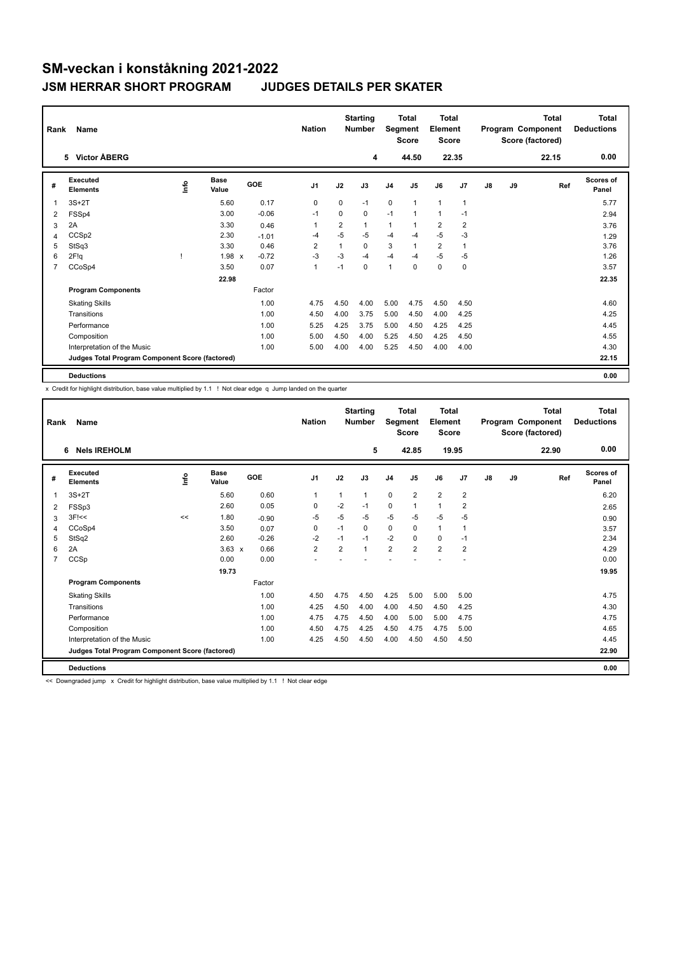| Rank | Name                                            |      |                      |            | <b>Nation</b>  |                | <b>Starting</b><br><b>Number</b> | Segment        | <b>Total</b><br><b>Score</b> | <b>Total</b><br>Element<br><b>Score</b> |                |    |    | <b>Total</b><br>Program Component<br>Score (factored) | <b>Total</b><br><b>Deductions</b> |
|------|-------------------------------------------------|------|----------------------|------------|----------------|----------------|----------------------------------|----------------|------------------------------|-----------------------------------------|----------------|----|----|-------------------------------------------------------|-----------------------------------|
|      | 5 Victor ÅBERG                                  |      |                      |            |                |                | 4                                |                | 44.50                        | 22.35                                   |                |    |    | 22.15                                                 | 0.00                              |
| #    | Executed<br><b>Elements</b>                     | ١nfo | <b>Base</b><br>Value | <b>GOE</b> | J <sub>1</sub> | J2             | J3                               | J <sub>4</sub> | J5                           | J6                                      | J7             | J8 | J9 | Ref                                                   | Scores of<br>Panel                |
| 1    | $3S+2T$                                         |      | 5.60                 | 0.17       | $\mathbf 0$    | $\mathbf 0$    | $-1$                             | $\mathbf 0$    | $\mathbf{1}$                 | $\mathbf{1}$                            | $\overline{1}$ |    |    |                                                       | 5.77                              |
| 2    | FSSp4                                           |      | 3.00                 | $-0.06$    | $-1$           | 0              | 0                                | $-1$           | $\overline{1}$               | $\mathbf{1}$                            | $-1$           |    |    |                                                       | 2.94                              |
| 3    | 2A                                              |      | 3.30                 | 0.46       | 1              | $\overline{2}$ | $\mathbf{1}$                     | 1              |                              | $\overline{2}$                          | $\overline{2}$ |    |    |                                                       | 3.76                              |
| 4    | CCSp2                                           |      | 2.30                 | $-1.01$    | $-4$           | $-5$           | $-5$                             | $-4$           | $-4$                         | $-5$                                    | $-3$           |    |    |                                                       | 1.29                              |
| 5    | StSq3                                           |      | 3.30                 | 0.46       | 2              | 1              | $\Omega$                         | 3              |                              | $\overline{2}$                          | 1              |    |    |                                                       | 3.76                              |
| 6    | 2F!q                                            |      | 1.98 x               | $-0.72$    | $-3$           | $-3$           | $-4$                             | $-4$           | $-4$                         | $-5$                                    | $-5$           |    |    |                                                       | 1.26                              |
| 7    | CCoSp4                                          |      | 3.50                 | 0.07       | $\mathbf{1}$   | $-1$           | $\mathbf 0$                      | $\mathbf{1}$   | $\pmb{0}$                    | $\mathbf 0$                             | 0              |    |    |                                                       | 3.57                              |
|      |                                                 |      | 22.98                |            |                |                |                                  |                |                              |                                         |                |    |    |                                                       | 22.35                             |
|      | <b>Program Components</b>                       |      |                      | Factor     |                |                |                                  |                |                              |                                         |                |    |    |                                                       |                                   |
|      | <b>Skating Skills</b>                           |      |                      | 1.00       | 4.75           | 4.50           | 4.00                             | 5.00           | 4.75                         | 4.50                                    | 4.50           |    |    |                                                       | 4.60                              |
|      | Transitions                                     |      |                      | 1.00       | 4.50           | 4.00           | 3.75                             | 5.00           | 4.50                         | 4.00                                    | 4.25           |    |    |                                                       | 4.25                              |
|      | Performance                                     |      |                      | 1.00       | 5.25           | 4.25           | 3.75                             | 5.00           | 4.50                         | 4.25                                    | 4.25           |    |    |                                                       | 4.45                              |
|      | Composition                                     |      |                      | 1.00       | 5.00           | 4.50           | 4.00                             | 5.25           | 4.50                         | 4.25                                    | 4.50           |    |    |                                                       | 4.55                              |
|      | Interpretation of the Music                     |      |                      | 1.00       | 5.00           | 4.00           | 4.00                             | 5.25           | 4.50                         | 4.00                                    | 4.00           |    |    |                                                       | 4.30                              |
|      | Judges Total Program Component Score (factored) |      |                      |            |                |                |                                  |                |                              |                                         |                |    |    |                                                       | 22.15                             |
|      | <b>Deductions</b>                               |      |                      |            |                |                |                                  |                |                              |                                         |                |    |    |                                                       | 0.00                              |

x Credit for highlight distribution, base value multiplied by 1.1 ! Not clear edge q Jump landed on the quarter

| Rank           | Name                                            |    |                      |         | <b>Nation</b>  |                | <b>Starting</b><br><b>Number</b> | Segment        | Total<br><b>Score</b> | Total<br>Element<br><b>Score</b> |                |    |    | Total<br>Program Component<br>Score (factored) | <b>Total</b><br><b>Deductions</b> |
|----------------|-------------------------------------------------|----|----------------------|---------|----------------|----------------|----------------------------------|----------------|-----------------------|----------------------------------|----------------|----|----|------------------------------------------------|-----------------------------------|
|                | <b>Nels IREHOLM</b><br>6                        |    |                      |         |                |                | 5                                |                | 42.85                 | 19.95                            |                |    |    | 22.90                                          | 0.00                              |
| #              | Executed<br><b>Elements</b>                     | ۴  | <b>Base</b><br>Value | GOE     | J <sub>1</sub> | J2             | J3                               | J <sub>4</sub> | J <sub>5</sub>        | J6                               | J7             | J8 | J9 | Ref                                            | <b>Scores of</b><br>Panel         |
|                | $3S+2T$                                         |    | 5.60                 | 0.60    | 1              | $\mathbf{1}$   | 1                                | 0              | $\overline{2}$        | $\overline{2}$                   | $\overline{2}$ |    |    |                                                | 6.20                              |
| 2              | FSSp3                                           |    | 2.60                 | 0.05    | $\mathbf 0$    | $-2$           | $-1$                             | 0              | $\mathbf{1}$          | $\mathbf{1}$                     | $\overline{2}$ |    |    |                                                | 2.65                              |
| 3              | $3F$ $<<$                                       | << | 1.80                 | $-0.90$ | $-5$           | $-5$           | $-5$                             | $-5$           | $-5$                  | $-5$                             | $-5$           |    |    |                                                | 0.90                              |
| 4              | CCoSp4                                          |    | 3.50                 | 0.07    | $\Omega$       | $-1$           | 0                                | $\Omega$       | $\Omega$              | $\mathbf{1}$                     | $\mathbf 1$    |    |    |                                                | 3.57                              |
| 5              | StSq2                                           |    | 2.60                 | $-0.26$ | $-2$           | $-1$           | $-1$                             | $-2$           | $\Omega$              | 0                                | $-1$           |    |    |                                                | 2.34                              |
| 6              | 2A                                              |    | $3.63 \times$        | 0.66    | $\overline{2}$ | $\overline{2}$ | 1                                | $\overline{2}$ | $\overline{2}$        | $\overline{2}$                   | $\overline{2}$ |    |    |                                                | 4.29                              |
| $\overline{7}$ | CCSp                                            |    | 0.00                 | 0.00    |                |                |                                  |                |                       |                                  |                |    |    |                                                | 0.00                              |
|                |                                                 |    | 19.73                |         |                |                |                                  |                |                       |                                  |                |    |    |                                                | 19.95                             |
|                | <b>Program Components</b>                       |    |                      | Factor  |                |                |                                  |                |                       |                                  |                |    |    |                                                |                                   |
|                | <b>Skating Skills</b>                           |    |                      | 1.00    | 4.50           | 4.75           | 4.50                             | 4.25           | 5.00                  | 5.00                             | 5.00           |    |    |                                                | 4.75                              |
|                | Transitions                                     |    |                      | 1.00    | 4.25           | 4.50           | 4.00                             | 4.00           | 4.50                  | 4.50                             | 4.25           |    |    |                                                | 4.30                              |
|                | Performance                                     |    |                      | 1.00    | 4.75           | 4.75           | 4.50                             | 4.00           | 5.00                  | 5.00                             | 4.75           |    |    |                                                | 4.75                              |
|                | Composition                                     |    |                      | 1.00    | 4.50           | 4.75           | 4.25                             | 4.50           | 4.75                  | 4.75                             | 5.00           |    |    |                                                | 4.65                              |
|                | Interpretation of the Music                     |    |                      | 1.00    | 4.25           | 4.50           | 4.50                             | 4.00           | 4.50                  | 4.50                             | 4.50           |    |    |                                                | 4.45                              |
|                | Judges Total Program Component Score (factored) |    |                      |         |                |                |                                  |                |                       |                                  |                |    |    |                                                | 22.90                             |
|                | <b>Deductions</b>                               |    |                      |         |                |                |                                  |                |                       |                                  |                |    |    |                                                | 0.00                              |

<< Downgraded jump x Credit for highlight distribution, base value multiplied by 1.1 ! Not clear edge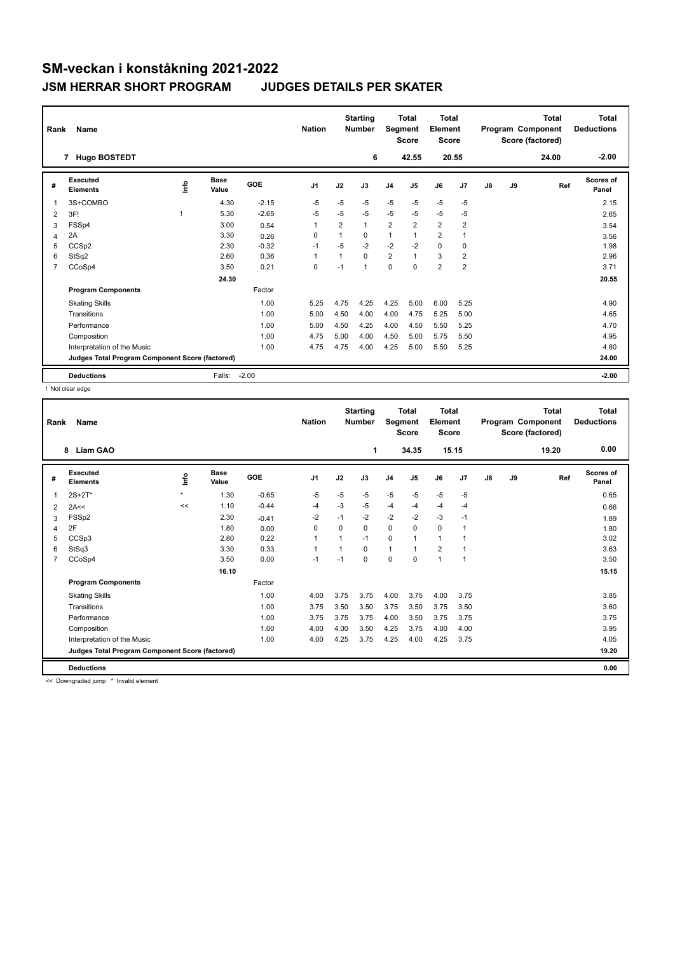| Rank | Name<br><b>Hugo BOSTEDT</b><br>$\overline{7}$   |             |                      |         | <b>Nation</b>  |                | <b>Starting</b><br><b>Number</b><br>6 | Segment        | <b>Total</b><br><b>Score</b><br>42.55 | <b>Total</b><br>Element<br><b>Score</b> | 20.55          |               |    | <b>Total</b><br>Program Component<br>Score (factored)<br>24.00 | Total<br><b>Deductions</b><br>$-2.00$ |
|------|-------------------------------------------------|-------------|----------------------|---------|----------------|----------------|---------------------------------------|----------------|---------------------------------------|-----------------------------------------|----------------|---------------|----|----------------------------------------------------------------|---------------------------------------|
|      |                                                 |             |                      |         |                |                |                                       |                |                                       |                                         |                |               |    |                                                                |                                       |
| #    | Executed<br><b>Elements</b>                     | <b>Info</b> | <b>Base</b><br>Value | GOE     | J <sub>1</sub> | J2             | J3                                    | J <sub>4</sub> | J <sub>5</sub>                        | J6                                      | J <sub>7</sub> | $\mathsf{J}8$ | J9 | Ref                                                            | Scores of<br>Panel                    |
| 1    | 3S+COMBO                                        |             | 4.30                 | $-2.15$ | $-5$           | $-5$           | $-5$                                  | $-5$           | $-5$                                  | $-5$                                    | $-5$           |               |    |                                                                | 2.15                                  |
| 2    | 3F!                                             |             | 5.30                 | $-2.65$ | $-5$           | $-5$           | $-5$                                  | $-5$           | $-5$                                  | $-5$                                    | $-5$           |               |    |                                                                | 2.65                                  |
| 3    | FSSp4                                           |             | 3.00                 | 0.54    | 1              | $\overline{2}$ | $\mathbf{1}$                          | $\overline{2}$ | $\overline{2}$                        | $\overline{2}$                          | $\overline{2}$ |               |    |                                                                | 3.54                                  |
| 4    | 2A                                              |             | 3.30                 | 0.26    | 0              |                | $\Omega$                              | 1              | 1                                     | $\overline{2}$                          | $\overline{1}$ |               |    |                                                                | 3.56                                  |
| 5    | CCSp2                                           |             | 2.30                 | $-0.32$ | $-1$           | $-5$           | $-2$                                  | $-2$           | $-2$                                  | $\mathbf 0$                             | 0              |               |    |                                                                | 1.98                                  |
| 6    | StSq2                                           |             | 2.60                 | 0.36    | $\overline{1}$ |                | $\Omega$                              | $\overline{2}$ | $\mathbf{1}$                          | 3                                       | $\overline{2}$ |               |    |                                                                | 2.96                                  |
| 7    | CCoSp4                                          |             | 3.50                 | 0.21    | 0              | $-1$           | $\mathbf{1}$                          | 0              | 0                                     | $\overline{2}$                          | $\overline{2}$ |               |    |                                                                | 3.71                                  |
|      |                                                 |             | 24.30                |         |                |                |                                       |                |                                       |                                         |                |               |    |                                                                | 20.55                                 |
|      | <b>Program Components</b>                       |             |                      | Factor  |                |                |                                       |                |                                       |                                         |                |               |    |                                                                |                                       |
|      | <b>Skating Skills</b>                           |             |                      | 1.00    | 5.25           | 4.75           | 4.25                                  | 4.25           | 5.00                                  | 6.00                                    | 5.25           |               |    |                                                                | 4.90                                  |
|      | Transitions                                     |             |                      | 1.00    | 5.00           | 4.50           | 4.00                                  | 4.00           | 4.75                                  | 5.25                                    | 5.00           |               |    |                                                                | 4.65                                  |
|      | Performance                                     |             |                      | 1.00    | 5.00           | 4.50           | 4.25                                  | 4.00           | 4.50                                  | 5.50                                    | 5.25           |               |    |                                                                | 4.70                                  |
|      | Composition                                     |             |                      | 1.00    | 4.75           | 5.00           | 4.00                                  | 4.50           | 5.00                                  | 5.75                                    | 5.50           |               |    |                                                                | 4.95                                  |
|      | Interpretation of the Music                     |             |                      | 1.00    | 4.75           | 4.75           | 4.00                                  | 4.25           | 5.00                                  | 5.50                                    | 5.25           |               |    |                                                                | 4.80                                  |
|      | Judges Total Program Component Score (factored) |             |                      |         |                |                |                                       |                |                                       |                                         |                |               |    |                                                                | 24.00                                 |
|      | <b>Deductions</b>                               |             | Falls:               | $-2.00$ |                |                |                                       |                |                                       |                                         |                |               |    |                                                                | $-2.00$                               |

! Not clear edge

| Rank | <b>Name</b>                                     |         |                      |         | <b>Nation</b>  |          | <b>Starting</b><br><b>Number</b> | Segment        | <b>Total</b><br><b>Score</b> | Total<br>Element<br><b>Score</b> |                |    |    | <b>Total</b><br>Program Component<br>Score (factored) | <b>Total</b><br><b>Deductions</b> |
|------|-------------------------------------------------|---------|----------------------|---------|----------------|----------|----------------------------------|----------------|------------------------------|----------------------------------|----------------|----|----|-------------------------------------------------------|-----------------------------------|
|      | <b>Liam GAO</b><br>8                            |         |                      |         |                |          | 1                                |                | 34.35                        |                                  | 15.15          |    |    | 19.20                                                 | 0.00                              |
| #    | Executed<br><b>Elements</b>                     | ١nf٥    | <b>Base</b><br>Value | GOE     | J <sub>1</sub> | J2       | J3                               | J <sub>4</sub> | J5                           | J6                               | J <sub>7</sub> | J8 | J9 | Ref                                                   | <b>Scores of</b><br>Panel         |
| 1    | $2S+2T^*$                                       | $\star$ | 1.30                 | $-0.65$ | $-5$           | $-5$     | $-5$                             | $-5$           | $-5$                         | $-5$                             | $-5$           |    |    |                                                       | 0.65                              |
| 2    | 2A<<                                            | <<      | 1.10                 | $-0.44$ | $-4$           | $-3$     | $-5$                             | $-4$           | $-4$                         | $-4$                             | $-4$           |    |    |                                                       | 0.66                              |
| 3    | FSSp2                                           |         | 2.30                 | $-0.41$ | $-2$           | $-1$     | $-2$                             | $-2$           | $-2$                         | $-3$                             | $-1$           |    |    |                                                       | 1.89                              |
| 4    | 2F                                              |         | 1.80                 | 0.00    | $\Omega$       | $\Omega$ | 0                                | $\Omega$       | $\Omega$                     | $\Omega$                         | $\overline{1}$ |    |    |                                                       | 1.80                              |
| 5    | CCSp3                                           |         | 2.80                 | 0.22    | 1              | 1        | $-1$                             | 0              | 1                            | $\mathbf{1}$                     |                |    |    |                                                       | 3.02                              |
| 6    | StSq3                                           |         | 3.30                 | 0.33    | $\mathbf{1}$   |          | $\Omega$                         | $\mathbf{1}$   |                              | $\overline{2}$                   | $\overline{1}$ |    |    |                                                       | 3.63                              |
| 7    | CCoSp4                                          |         | 3.50                 | 0.00    | $-1$           | $-1$     | $\Omega$                         | $\mathbf 0$    | $\Omega$                     | $\mathbf{1}$                     | $\overline{1}$ |    |    |                                                       | 3.50                              |
|      |                                                 |         | 16.10                |         |                |          |                                  |                |                              |                                  |                |    |    |                                                       | 15.15                             |
|      | <b>Program Components</b>                       |         |                      | Factor  |                |          |                                  |                |                              |                                  |                |    |    |                                                       |                                   |
|      | <b>Skating Skills</b>                           |         |                      | 1.00    | 4.00           | 3.75     | 3.75                             | 4.00           | 3.75                         | 4.00                             | 3.75           |    |    |                                                       | 3.85                              |
|      | Transitions                                     |         |                      | 1.00    | 3.75           | 3.50     | 3.50                             | 3.75           | 3.50                         | 3.75                             | 3.50           |    |    |                                                       | 3.60                              |
|      | Performance                                     |         |                      | 1.00    | 3.75           | 3.75     | 3.75                             | 4.00           | 3.50                         | 3.75                             | 3.75           |    |    |                                                       | 3.75                              |
|      | Composition                                     |         |                      | 1.00    | 4.00           | 4.00     | 3.50                             | 4.25           | 3.75                         | 4.00                             | 4.00           |    |    |                                                       | 3.95                              |
|      | Interpretation of the Music                     |         |                      | 1.00    | 4.00           | 4.25     | 3.75                             | 4.25           | 4.00                         | 4.25                             | 3.75           |    |    |                                                       | 4.05                              |
|      | Judges Total Program Component Score (factored) |         |                      |         |                |          |                                  |                |                              |                                  |                |    |    |                                                       | 19.20                             |
|      | <b>Deductions</b>                               |         |                      |         |                |          |                                  |                |                              |                                  |                |    |    |                                                       | 0.00                              |

<< Downgraded jump \* Invalid element